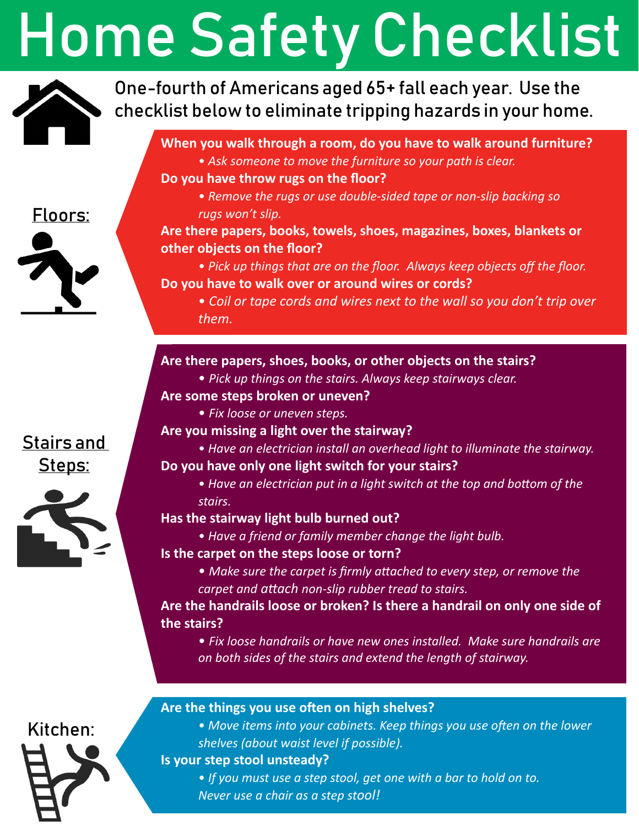## Home Safety Checklist



Floors:

One-fourth of Americans aged 65+ fall each year. Use the checklist below to eliminate tripping hazards in your home.

### **When you walk through a room, do you have to walk around furniture?**

- *Ask someone to move the furniture so your path is clear.*
- **Do you have throw rugs on the floor?**
	- *Remove the rugs or use double-sided tape or non-slip backing so rugs won't slip.*

### **Are there papers, books, towels, shoes, magazines, boxes, blankets or other objects on the floor?**

• *Pick up things that are on the floor. Always keep objects off the floor.* **Do you have to walk over or around wires or cords?**

• *Coil or tape cords and wires next to the wall so you don't trip over them.*

### **Are there papers, shoes, books, or other objects on the stairs?**

• *Pick up things on the stairs. Always keep stairways clear.*

### **Are some steps broken or uneven?**

• *Fix loose or uneven steps.*

### **Are you missing a light over the stairway?**

• *Have an electrician install an overhead light to illuminate the stairway.*

### **Do you have only one light switch for your stairs?**

• *Have an electrician put in a light switch at the top and bottom of the stairs.*

### **Has the stairway light bulb burned out?**

• *Have a friend or family member change the light bulb.*

### **Is the carpet on the steps loose or torn?**

• *Make sure the carpet is firmly attached to every step, or remove the carpet and attach non-slip rubber tread to stairs.*

### **Are the handrails loose or broken? Is there a handrail on only one side of the stairs?**

• *Fix loose handrails or have new ones installed. Make sure handrails are on both sides of the stairs and extend the length of stairway.*

# Kitchen:

### **Are the things you use often on high shelves?**

• *Move items into your cabinets. Keep things you use often on the lower shelves (about waist level if possible).*

### **Is your step stool unsteady?**

• *If you must use a step stool, get one with a bar to hold on to. Never use a chair as a step stool!*

### Stairs and Steps: